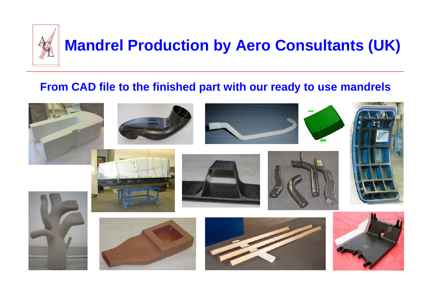

## **From CAD file to the finished part with our ready to use mandrels**